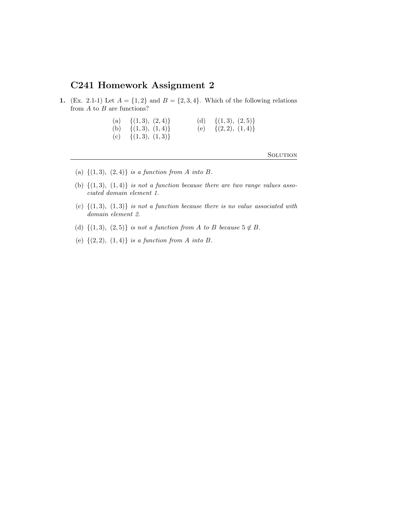## C241 Homework Assignment 2

- 1. (Ex. 2.1-1) Let  $A = \{1, 2\}$  and  $B = \{2, 3, 4\}$ . Which of the following relations from  $A$  to  $B$  are functions?
	- (a)  $\{(1,3), (2,4)\}$  (d)  $\{(1,3), (2,5)\}$ (b)  $\{(1,3), (1,4)\}$  (e)  $\{(2,2), (1,4)\}$
	- (c)  $\{(1,3), (1,3)\}\$

- (a)  $\{(1,3), (2,4)\}\$ is a function from A into B.
- (b)  $\{(1,3), (1,4)\}\$ is not a function because there are two range values associated domain element 1.
- (c)  $\{(1,3), (1,3)\}$  is not a function because there is no value associated with domain element 2.
- (d)  $\{(1,3), (2,5)\}\$ is not a function from A to B because  $5 \notin B$ .
- (e)  $\{(2, 2), (1, 4)\}\$ is a function from A into B.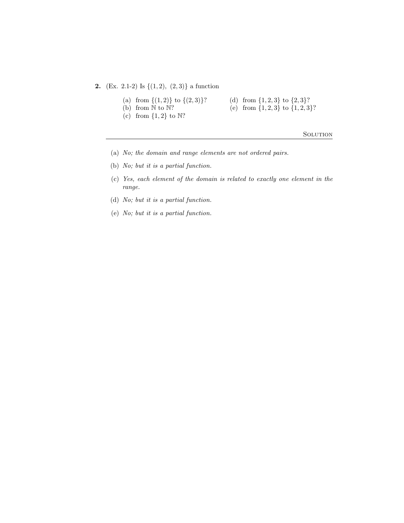**2.** (Ex. 2.1-2) Is  $\{(1, 2), (2, 3)\}$  a function

- (a) from  $\{(1,2)\}$  to  $\{(2,3)\}$ ? (d) from  $\{1,2,3\}$  to  $\{2,3\}$ ?
	-
- (b) from  $\mathbb N$  to  $\mathbb N$ ? (e) from  $\{1, 2, 3\}$  to  $\{1, 2, 3\}$ ?
- (c) from  $\{1,2\}$  to  $\mathbb{N}$ ?

- (a) No; the domain and range elements are not ordered pairs.
- (b) No; but it is a partial function.
- (c) Yes, each element of the domain is related to exactly one element in the range.
- (d) No; but it is a partial function.
- (e) No; but it is a partial function.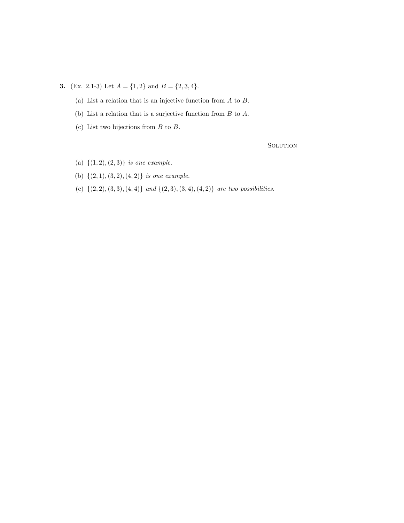**3.** (Ex. 2.1-3) Let  $A = \{1, 2\}$  and  $B = \{2, 3, 4\}$ .

- (a) List a relation that is an injective function from  $A$  to  $B$ .
- (b) List a relation that is a surjective function from  $B$  to  $A$ .
- (c) List two bijections from  $B$  to  $B$ .

- (a)  $\{(1, 2), (2, 3)\}$  is one example.
- (b)  $\{(2, 1), (3, 2), (4, 2)\}$  is one example.
- (c)  $\{(2, 2), (3, 3), (4, 4)\}$  and  $\{(2, 3), (3, 4), (4, 2)\}$  are two possibilities.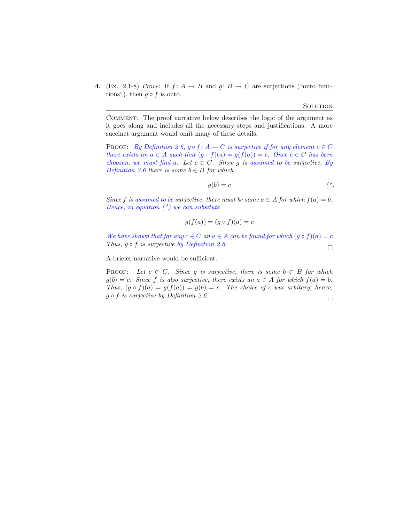4. (Ex. 2.1-8) Prove: If  $f: A \rightarrow B$  and  $g: B \rightarrow C$  are surjections ("onto functions"), then  $g \circ f$  is onto.

**SOLUTION** 

Comment. The proof narrative below describes the logic of the argument as it goes along and includes all the necessary steps and justifications. A more succinct argument would omit many of these details.

**PROOF:** By Definition 2.6,  $g \circ f : A \to C$  is surjective if for any element  $c \in C$ there exists an  $a \in A$  such that  $(g \circ f)(a) = g(f(a)) = c$ . Once  $c \in C$  has been choosen, we must find a. Let  $c \in C$ . Since g is assumed to be surjective, By Definition 2.6 there is some  $b \in B$  for which

$$
g(b) = c \tag{*}
$$

Since f is assumed to be surjective, there must be some  $a \in A$  for which  $f(a) = b$ . Hence, in equation  $(*)$  we can subsitute

$$
g(f(a)) = (g \circ f)(a) = c
$$

We have shown that for any  $c \in C$  an  $a \in A$  can be found for which  $(g \circ f)(a) = c$ . Thus,  $q \circ f$  is surjective by Definition 2.6.  $\Box$ 

A briefer narrative would be sufficient.

PROOF: Let  $c \in C$ . Since g is surjective, there is some  $b \in B$  for which  $g(b) = c$ . Since f is also surjective, there exists an  $a \in A$  for which  $f(a) = b$ . Thus,  $(q \circ f)(a) = q(f(a)) = q(b) = c$ . The choice of c was arbitary; hence,  $g \circ f$  is surjective by Definition 2.6.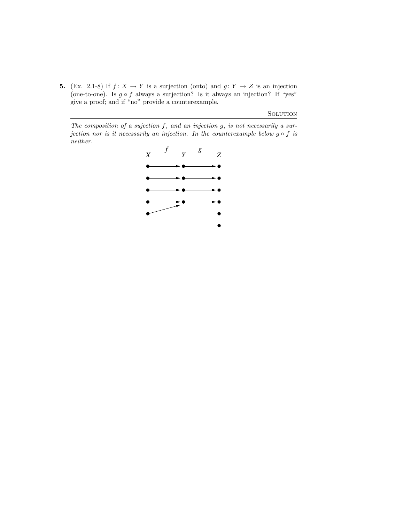5. (Ex. 2.1-8) If  $f: X \to Y$  is a surjection (onto) and  $g: Y \to Z$  is an injection (one-to-one). Is  $g \circ f$  always a surjection? Is it always an injection? If "yes" give a proof; and if "no" provide a counterexample.

**SOLUTION** 

The composition of a sujection  $f$ , and an injection  $g$ , is not necessarily a surjection nor is it necessarily an injection. In the counterexample below  $g \circ f$  is neither.